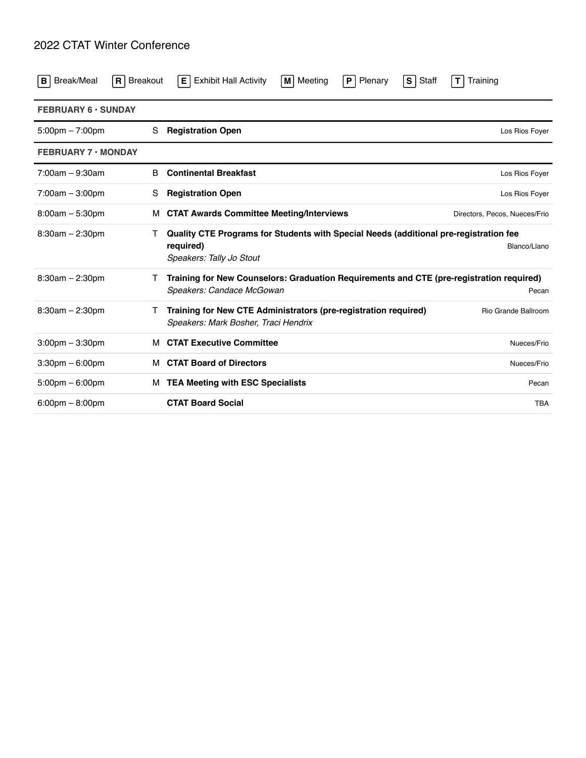## 2022 CTAT Winter Conference

| Break/Meal<br>в                   | $ R $ Breakout | <b>Exhibit Hall Activity</b><br>Е.                                                                                             | Meeting<br>M | Plenary<br>P | Staff<br>$\vert$ S | T<br>Training                 |
|-----------------------------------|----------------|--------------------------------------------------------------------------------------------------------------------------------|--------------|--------------|--------------------|-------------------------------|
| <b>FEBRUARY 6 · SUNDAY</b>        |                |                                                                                                                                |              |              |                    |                               |
| $5:00 \text{pm} - 7:00 \text{pm}$ | S              | <b>Registration Open</b>                                                                                                       |              |              |                    | Los Rios Foyer                |
| <b>FEBRUARY 7 · MONDAY</b>        |                |                                                                                                                                |              |              |                    |                               |
| $7:00am - 9:30am$                 | <sub>B</sub>   | <b>Continental Breakfast</b>                                                                                                   |              |              |                    | Los Rios Foyer                |
| $7:00am - 3:00pm$                 | S              | <b>Registration Open</b>                                                                                                       |              |              |                    | Los Rios Foyer                |
| $8:00am - 5:30pm$                 | м              | <b>CTAT Awards Committee Meeting/Interviews</b>                                                                                |              |              |                    | Directors, Pecos, Nueces/Frio |
| $8:30am - 2:30pm$                 | Τ              | Quality CTE Programs for Students with Special Needs (additional pre-registration fee<br>required)<br>Speakers: Tally Jo Stout |              |              |                    | Blanco/Llano                  |
| $8:30am - 2:30pm$                 | $\mathbf{I}$   | Training for New Counselors: Graduation Requirements and CTE (pre-registration required)<br>Speakers: Candace McGowan          |              |              |                    | Pecan                         |
| $8:30am - 2:30pm$                 |                | Training for New CTE Administrators (pre-registration required)<br>Speakers: Mark Bosher, Traci Hendrix                        |              |              |                    | Rio Grande Ballroom           |
| $3:00$ pm $-3:30$ pm              | м              | <b>CTAT Executive Committee</b>                                                                                                |              |              |                    | Nueces/Frio                   |
| $3:30$ pm $-6:00$ pm              | м              | <b>CTAT Board of Directors</b>                                                                                                 |              |              |                    | Nueces/Frio                   |
| $5:00 \text{pm} - 6:00 \text{pm}$ | м              | <b>TEA Meeting with ESC Specialists</b>                                                                                        |              |              |                    | Pecan                         |
| $6:00 \text{pm} - 8:00 \text{pm}$ |                | <b>CTAT Board Social</b>                                                                                                       |              |              |                    | <b>TBA</b>                    |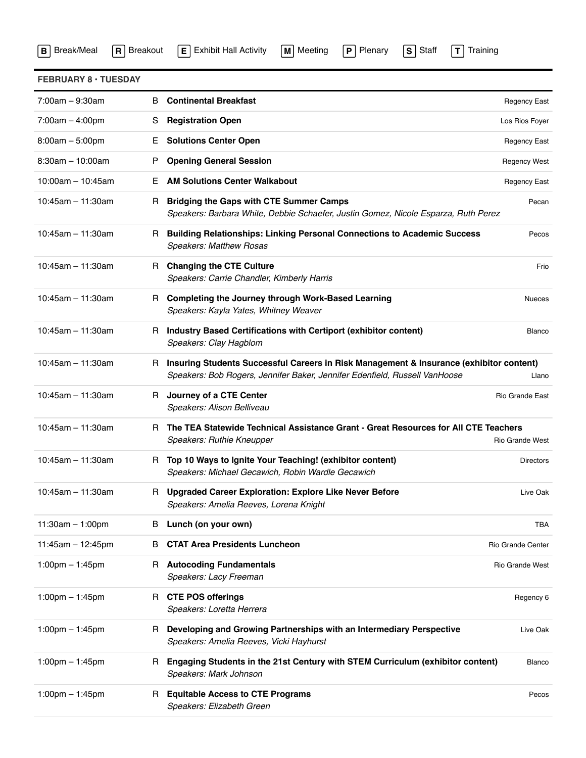|  |  | <b>B</b> Break/Meal <b>R</b> Breakout <b>E</b> Exhibit Hall Activity <b>M</b> Meeting <b>P</b> Plenary <b>S</b> Staff <b>T</b> Training |  |
|--|--|-----------------------------------------------------------------------------------------------------------------------------------------|--|
|--|--|-----------------------------------------------------------------------------------------------------------------------------------------|--|

|  | <u>E</u>   Exhibit Hall |  |
|--|-------------------------|--|
|--|-------------------------|--|

| Meeting |  |
|---------|--|
|         |  |

| <b>FEBRUARY 8 · TUESDAY</b>       |    |                                                                                                                                                                         |                     |
|-----------------------------------|----|-------------------------------------------------------------------------------------------------------------------------------------------------------------------------|---------------------|
| $7:00am - 9:30am$                 | B  | <b>Continental Breakfast</b>                                                                                                                                            | <b>Regency East</b> |
| $7:00am - 4:00pm$                 | S  | <b>Registration Open</b>                                                                                                                                                | Los Rios Foyer      |
| $8:00am - 5:00pm$                 | Е. | <b>Solutions Center Open</b>                                                                                                                                            | <b>Regency East</b> |
| $8:30am - 10:00am$                | P  | <b>Opening General Session</b>                                                                                                                                          | <b>Regency West</b> |
| $10:00$ am - 10:45am              | E. | <b>AM Solutions Center Walkabout</b>                                                                                                                                    | <b>Regency East</b> |
| $10:45$ am - 11:30am              | R. | <b>Bridging the Gaps with CTE Summer Camps</b><br>Speakers: Barbara White, Debbie Schaefer, Justin Gomez, Nicole Esparza, Ruth Perez                                    | Pecan               |
| $10:45$ am - 11:30am              |    | R Building Relationships: Linking Personal Connections to Academic Success<br><b>Speakers: Matthew Rosas</b>                                                            | Pecos               |
| $10:45$ am - 11:30am              |    | R Changing the CTE Culture<br>Speakers: Carrie Chandler, Kimberly Harris                                                                                                | Frio                |
| $10:45$ am - 11:30am              |    | R Completing the Journey through Work-Based Learning<br>Speakers: Kayla Yates, Whitney Weaver                                                                           | <b>Nueces</b>       |
| $10:45$ am - 11:30am              |    | R Industry Based Certifications with Certiport (exhibitor content)<br>Speakers: Clay Hagblom                                                                            | Blanco              |
| $10:45$ am - 11:30am              |    | R Insuring Students Successful Careers in Risk Management & Insurance (exhibitor content)<br>Speakers: Bob Rogers, Jennifer Baker, Jennifer Edenfield, Russell VanHoose | Llano               |
| $10:45$ am - 11:30am              |    | R Journey of a CTE Center<br>Speakers: Alison Belliveau                                                                                                                 | Rio Grande East     |
| $10:45$ am - 11:30am              |    | R The TEA Statewide Technical Assistance Grant - Great Resources for All CTE Teachers<br>Speakers: Ruthie Kneupper                                                      | Rio Grande West     |
| $10:45$ am - 11:30am              |    | R Top 10 Ways to Ignite Your Teaching! (exhibitor content)<br>Speakers: Michael Gecawich, Robin Wardle Gecawich                                                         | <b>Directors</b>    |
| $10:45$ am - 11:30am              |    | R Upgraded Career Exploration: Explore Like Never Before<br>Speakers: Amelia Reeves, Lorena Knight                                                                      | Live Oak            |
| 11:30am $-$ 1:00pm                | В  | Lunch (on your own)                                                                                                                                                     | TBA                 |
| $11:45am - 12:45pm$               | В  | <b>CTAT Area Presidents Luncheon</b>                                                                                                                                    | Rio Grande Center   |
| 1:00pm $-$ 1:45pm                 |    | R Autocoding Fundamentals<br>Speakers: Lacy Freeman                                                                                                                     | Rio Grande West     |
| $1:00 \text{pm} - 1:45 \text{pm}$ |    | R CTE POS offerings<br>Speakers: Loretta Herrera                                                                                                                        | Regency 6           |
| 1:00pm $-$ 1:45pm                 | R. | Developing and Growing Partnerships with an Intermediary Perspective<br>Speakers: Amelia Reeves, Vicki Hayhurst                                                         | Live Oak            |
| $1:00$ pm $- 1:45$ pm             | R. | Engaging Students in the 21st Century with STEM Curriculum (exhibitor content)<br>Speakers: Mark Johnson                                                                | Blanco              |
| 1:00pm $-$ 1:45pm                 | R. | <b>Equitable Access to CTE Programs</b><br>Speakers: Elizabeth Green                                                                                                    | Pecos               |
|                                   |    |                                                                                                                                                                         |                     |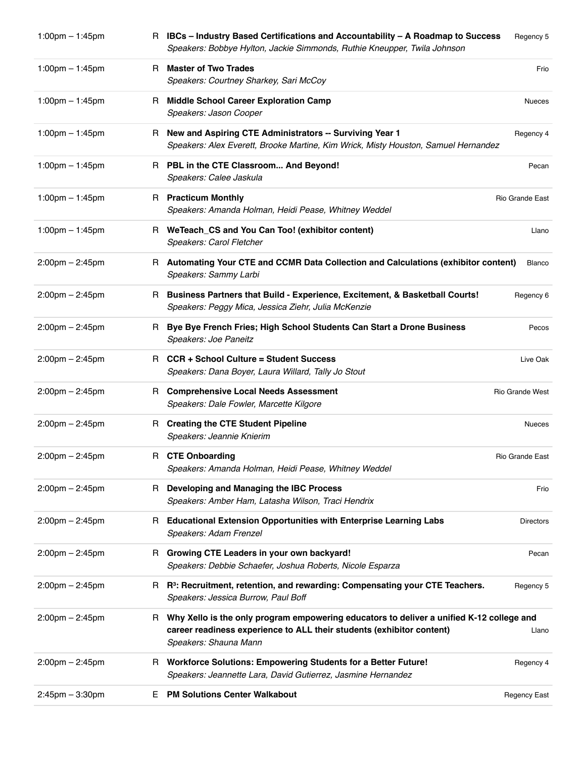| $1:00$ pm $-1:45$ pm              |    | R IBCs - Industry Based Certifications and Accountability - A Roadmap to Success<br>Speakers: Bobbye Hylton, Jackie Simmonds, Ruthie Kneupper, Twila Johnson                                 | Regency 5              |
|-----------------------------------|----|----------------------------------------------------------------------------------------------------------------------------------------------------------------------------------------------|------------------------|
| $1:00 \text{pm} - 1:45 \text{pm}$ |    | R Master of Two Trades<br>Speakers: Courtney Sharkey, Sari McCoy                                                                                                                             | Frio                   |
| $1:00$ pm $-1:45$ pm              | R. | <b>Middle School Career Exploration Camp</b><br>Speakers: Jason Cooper                                                                                                                       | <b>Nueces</b>          |
| $1:00$ pm $- 1:45$ pm             |    | R New and Aspiring CTE Administrators -- Surviving Year 1<br>Speakers: Alex Everett, Brooke Martine, Kim Wrick, Misty Houston, Samuel Hernandez                                              | Regency 4              |
| $1:00$ pm $- 1:45$ pm             |    | R PBL in the CTE Classroom And Beyond!<br>Speakers: Calee Jaskula                                                                                                                            | Pecan                  |
| $1:00$ pm $-1:45$ pm              |    | R Practicum Monthly<br>Speakers: Amanda Holman, Heidi Pease, Whitney Weddel                                                                                                                  | Rio Grande East        |
| $1:00$ pm $- 1:45$ pm             |    | R WeTeach_CS and You Can Too! (exhibitor content)<br>Speakers: Carol Fletcher                                                                                                                | Llano                  |
| $2:00 \text{pm} - 2:45 \text{pm}$ |    | R Automating Your CTE and CCMR Data Collection and Calculations (exhibitor content)<br>Speakers: Sammy Larbi                                                                                 | Blanco                 |
| $2:00$ pm $- 2:45$ pm             |    | R Business Partners that Build - Experience, Excitement, & Basketball Courts!<br>Speakers: Peggy Mica, Jessica Ziehr, Julia McKenzie                                                         | Regency 6              |
| $2:00 \text{pm} - 2:45 \text{pm}$ | R. | Bye Bye French Fries; High School Students Can Start a Drone Business<br>Speakers: Joe Paneitz                                                                                               | Pecos                  |
| $2:00$ pm $- 2:45$ pm             |    | R CCR + School Culture = Student Success<br>Speakers: Dana Boyer, Laura Willard, Tally Jo Stout                                                                                              | Live Oak               |
| $2:00$ pm $- 2:45$ pm             |    | R Comprehensive Local Needs Assessment<br>Speakers: Dale Fowler, Marcette Kilgore                                                                                                            | <b>Rio Grande West</b> |
| $2:00$ pm $- 2:45$ pm             |    | R Creating the CTE Student Pipeline<br>Speakers: Jeannie Knierim                                                                                                                             | <b>Nueces</b>          |
| $2:00$ pm $- 2:45$ pm             |    | R CTE Onboarding<br>Speakers: Amanda Holman, Heidi Pease, Whitney Weddel                                                                                                                     | <b>Rio Grande East</b> |
| $2:00$ pm $- 2:45$ pm             |    | R Developing and Managing the IBC Process<br>Speakers: Amber Ham, Latasha Wilson, Traci Hendrix                                                                                              | Frio                   |
| $2:00$ pm $- 2:45$ pm             | R  | <b>Educational Extension Opportunities with Enterprise Learning Labs</b><br>Speakers: Adam Frenzel                                                                                           | <b>Directors</b>       |
| $2:00$ pm $- 2:45$ pm             |    | R Growing CTE Leaders in your own backyard!<br>Speakers: Debbie Schaefer, Joshua Roberts, Nicole Esparza                                                                                     | Pecan                  |
| $2:00$ pm $- 2:45$ pm             |    | R R <sup>3</sup> : Recruitment, retention, and rewarding: Compensating your CTE Teachers.<br>Speakers: Jessica Burrow, Paul Boff                                                             | Regency 5              |
| $2:00$ pm $- 2:45$ pm             |    | R Why Xello is the only program empowering educators to deliver a unified K-12 college and<br>career readiness experience to ALL their students (exhibitor content)<br>Speakers: Shauna Mann | Llano                  |
| $2:00$ pm $- 2:45$ pm             |    | R Workforce Solutions: Empowering Students for a Better Future!<br>Speakers: Jeannette Lara, David Gutierrez, Jasmine Hernandez                                                              | Regency 4              |
| $2:45$ pm $-3:30$ pm              | E. | <b>PM Solutions Center Walkabout</b>                                                                                                                                                         | <b>Regency East</b>    |
|                                   |    |                                                                                                                                                                                              |                        |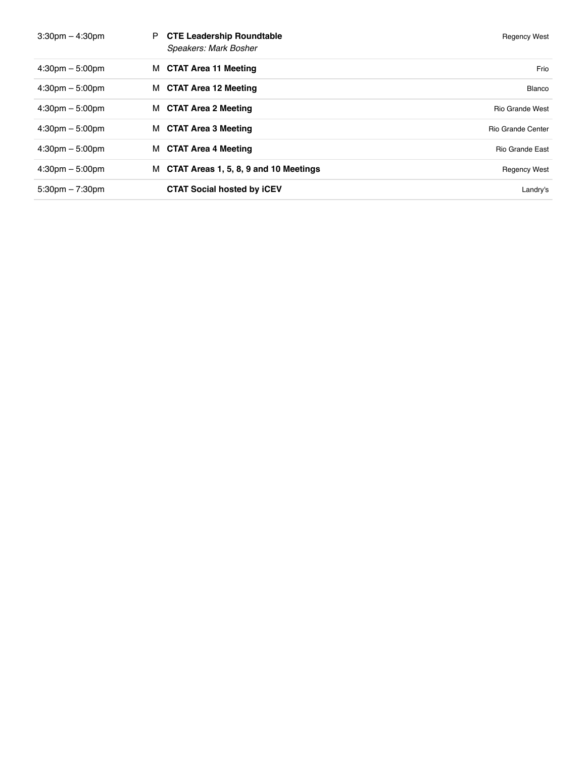| $3:30$ pm $-4:30$ pm              | <b>CTE Leadership Roundtable</b><br>P<br>Speakers: Mark Bosher | <b>Regency West</b>      |
|-----------------------------------|----------------------------------------------------------------|--------------------------|
| $4:30 \text{pm} - 5:00 \text{pm}$ | M CTAT Area 11 Meeting                                         | Frio                     |
| $4:30 \text{pm} - 5:00 \text{pm}$ | M CTAT Area 12 Meeting                                         | Blanco                   |
| $4:30 \text{pm} - 5:00 \text{pm}$ | M CTAT Area 2 Meeting                                          | <b>Rio Grande West</b>   |
| $4:30 \text{pm} - 5:00 \text{pm}$ | M CTAT Area 3 Meeting                                          | <b>Rio Grande Center</b> |
| $4:30 \text{pm} - 5:00 \text{pm}$ | M CTAT Area 4 Meeting                                          | <b>Rio Grande East</b>   |
| $4:30 \text{pm} - 5:00 \text{pm}$ | M CTAT Areas 1, 5, 8, 9 and 10 Meetings                        | <b>Regency West</b>      |
| $5:30 \text{pm} - 7:30 \text{pm}$ | <b>CTAT Social hosted by ICEV</b>                              | Landry's                 |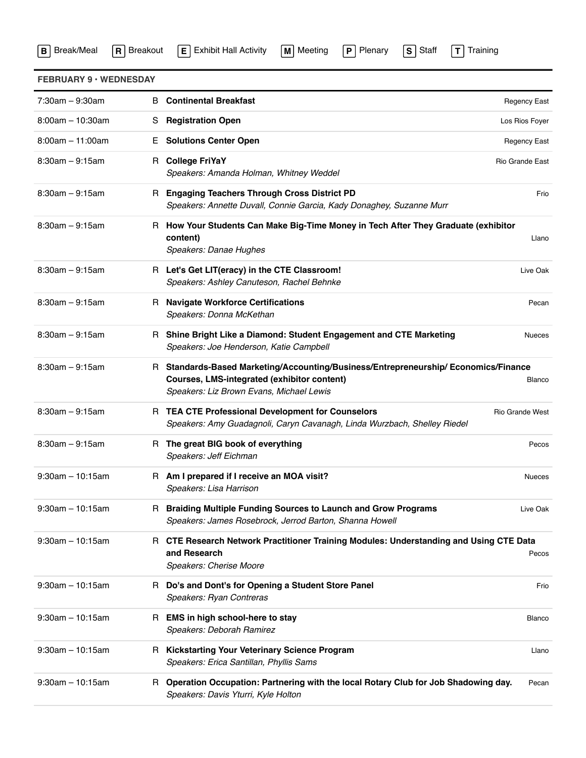| B Break/Meal R Breakout E Exhibit Hall Activity M Meeting P Plenary S Staff T Training |  |  |  |  |  |  |  |
|----------------------------------------------------------------------------------------|--|--|--|--|--|--|--|
|----------------------------------------------------------------------------------------|--|--|--|--|--|--|--|

| aır<br>ı |  |
|----------|--|
|----------|--|

| <b>FEBRUARY 9 · WEDNESDAY</b> |    |                                                                                                                                                                                |                     |
|-------------------------------|----|--------------------------------------------------------------------------------------------------------------------------------------------------------------------------------|---------------------|
| $7:30am - 9:30am$             | B  | <b>Continental Breakfast</b>                                                                                                                                                   | <b>Regency East</b> |
| $8:00am - 10:30am$            | S  | <b>Registration Open</b>                                                                                                                                                       | Los Rios Foyer      |
| $8:00am - 11:00am$            | Е. | <b>Solutions Center Open</b>                                                                                                                                                   | <b>Regency East</b> |
| $8:30am - 9:15am$             |    | R College FriYaY<br>Speakers: Amanda Holman, Whitney Weddel                                                                                                                    | Rio Grande East     |
| $8:30am - 9:15am$             | R. | <b>Engaging Teachers Through Cross District PD</b><br>Speakers: Annette Duvall, Connie Garcia, Kady Donaghey, Suzanne Murr                                                     | Frio                |
| $8:30am - 9:15am$             |    | R How Your Students Can Make Big-Time Money in Tech After They Graduate (exhibitor<br>content)<br>Speakers: Danae Hughes                                                       | Llano               |
| $8:30am - 9:15am$             |    | R Let's Get LIT(eracy) in the CTE Classroom!<br>Speakers: Ashley Canuteson, Rachel Behnke                                                                                      | Live Oak            |
| $8:30am - 9:15am$             |    | R Navigate Workforce Certifications<br>Speakers: Donna McKethan                                                                                                                | Pecan               |
| $8:30am - 9:15am$             |    | R Shine Bright Like a Diamond: Student Engagement and CTE Marketing<br>Speakers: Joe Henderson, Katie Campbell                                                                 | <b>Nueces</b>       |
| $8:30am - 9:15am$             |    | R Standards-Based Marketing/Accounting/Business/Entrepreneurship/ Economics/Finance<br>Courses, LMS-integrated (exhibitor content)<br>Speakers: Liz Brown Evans, Michael Lewis | Blanco              |
| $8:30am - 9:15am$             |    | R TEA CTE Professional Development for Counselors<br>Speakers: Amy Guadagnoli, Caryn Cavanagh, Linda Wurzbach, Shelley Riedel                                                  | Rio Grande West     |
| $8:30am - 9:15am$             |    | R The great BIG book of everything<br>Speakers: Jeff Eichman                                                                                                                   | Pecos               |
| $9:30$ am - 10:15am           |    | R Am I prepared if I receive an MOA visit?<br>Speakers: Lisa Harrison                                                                                                          | <b>Nueces</b>       |
| $9:30$ am - 10:15am           |    | R Braiding Multiple Funding Sources to Launch and Grow Programs<br>Speakers: James Rosebrock, Jerrod Barton, Shanna Howell                                                     | Live Oak            |
| $9:30$ am - 10:15am           |    | R CTE Research Network Practitioner Training Modules: Understanding and Using CTE Data<br>and Research<br>Speakers: Cherise Moore                                              | Pecos               |
| $9:30$ am - 10:15am           |    | R Do's and Dont's for Opening a Student Store Panel<br>Speakers: Ryan Contreras                                                                                                | Frio                |
| $9:30$ am $-10:15$ am         | R. | EMS in high school-here to stay<br>Speakers: Deborah Ramirez                                                                                                                   | Blanco              |
| $9:30$ am - 10:15am           |    | R Kickstarting Your Veterinary Science Program<br>Speakers: Erica Santillan, Phyllis Sams                                                                                      | Llano               |
| $9:30$ am - 10:15am           |    | R Operation Occupation: Partnering with the local Rotary Club for Job Shadowing day.<br>Speakers: Davis Yturri, Kyle Holton                                                    | Pecan               |